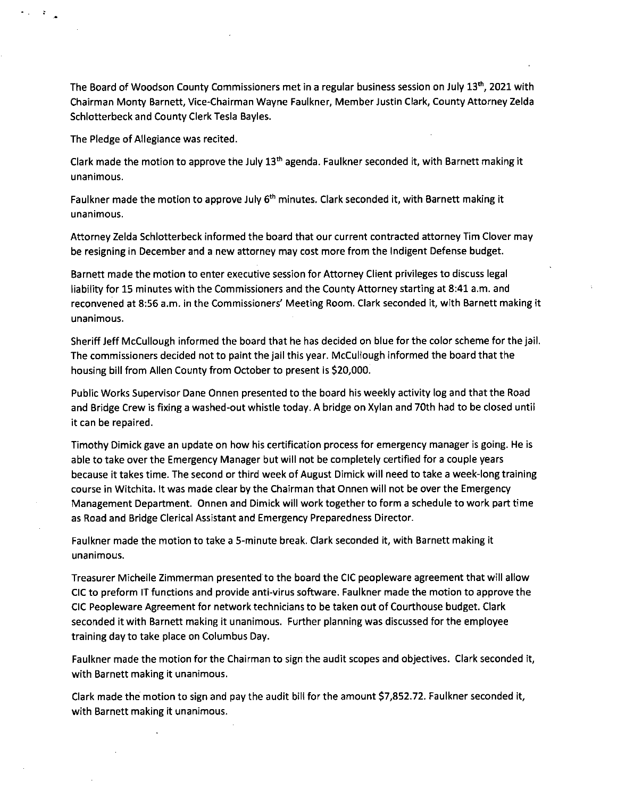The Board of Woodson County Commissioners met in a regular business session on July 13<sup>th</sup>, 2021 with Chairman Monty Barnett, Vice-Chairman Wayne Faulkner, Member Justin Clark, County Attorney Zelda Schlotterbeck and County Clerk Tesla Bayles.

The Pledge of Allegiance was recited.

 $\mathcal{A}_{\mathcal{A}}$ 

 $\bullet$ 

Clark made the motion to approve the July 13<sup>th</sup> agenda. Faulkner seconded it, with Barnett making it unanimous.

Faulkner made the motion to approve July 6<sup>th</sup> minutes. Clark seconded it, with Barnett making it unanimous.

Attorney Zelda Schlotterbeck informed the board that our current contracted attorney Tim Clover may be resigning in December and a new attorney may cost more from the Indigent Defense budget.

Barnett made the motion to enter executive session for Attorney Client privileges to discuss legal liability for 15 minutes with the Commissioners and the County Attorney starting at 8:41 a.m. and reconvened at 8:56 a.m. in the Commissioners' Meeting Room. Clark seconded it, with Barnett making it unanimous.

Sheriff Jeff McCullough informed the board that he has decided on blue for the color scheme for the jail. The commissioners decided not to paint the jail this year. McCullough informed the board that the housing bill from Allen County from October to present is \$20,000.

Public Works Supervisor Dane Onnen presented to the board his weekly activity log and that the Road and Bridge Crew is fixing a washed-out whistle today. A bridge on Xylan and 70th had to be closed until it can be repaired.

Timothy Dimick gave an update on how his certification process for emergency manager is going. He is able to take over the Emergency Manager but will not be completely certified for a couple years because it takes time. The second or third week of August Dimick will need to take a week-long training course in Witchita. It was made clear by the Chairman that Onnen will not be over the Emergency Management Department. Onnen and Dimick will work together to form a schedule to work part time as Road and Bridge Clerical Assistant and Emergency Preparedness Director.

Faulkner made the motion to take a 5-minute break. Clark seconded it, with Barnett making it unanimous.

Treasurer Michelle Zimmerman presented to the board the CIC peopleware agreement that will allow CIC to preform IT functions and provide anti-virus software. Faulkner made the motion to approve the CIC Peopleware Agreement for network technicians to be taken out of Courthouse budget. Clark seconded it with Barnett making it unanimous. Further planning was discussed for the employee training day to take place on Columbus Day.

Faulkner made the motion for the Chairman to sign the audit scopes and objectives. Clark seconded it, with Barnett making it unanimous.

Clark made the motion to sign and pay the audit bill for the amount \$7,852.72. Faulkner seconded it, with Barnett making it unanimous.